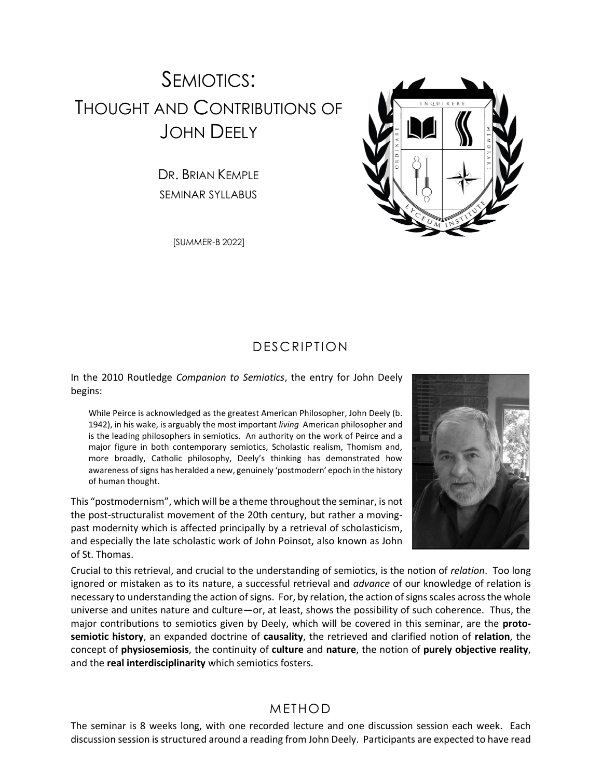# SEMIOTICS: THOUGHT AND CONTRIBUTIONS OF JOHN DEELY

DR. BRIAN KEMPLE SEMINAR SYLLABUS

[SUMMER-B 2022]



In the 2010 Routledge *Companion to Semiotics*, the entry for John Deely begins:

While Peirce is acknowledged as the greatest American Philosopher, John Deely (b. 1942), in his wake, is arguably the most important *living* American philosopher and is the leading philosophers in semiotics. An authority on the work of Peirce and a major figure in both contemporary semiotics, Scholastic realism, Thomism and, more broadly, Catholic philosophy, Deely's thinking has demonstrated how awareness of signs has heralded a new, genuinely 'postmodern' epoch in the history of human thought.

This "postmodernism", which will be a theme throughout the seminar, is not the post-structuralist movement of the 20th century, but rather a movingpast modernity which is affected principally by a retrieval of scholasticism, and especially the late scholastic work of John Poinsot, also known as John of St. Thomas.



Crucial to this retrieval, and crucial to the understanding of semiotics, is the notion of *relation*. Too long ignored or mistaken as to its nature, a successful retrieval and *advance* of our knowledge of relation is necessary to understanding the action of signs. For, by relation, the action of signs scales across the whole universe and unites nature and culture—or, at least, shows the possibility of such coherence. Thus, the major contributions to semiotics given by Deely, which will be covered in this seminar, are the **protosemiotic history**, an expanded doctrine of **causality**, the retrieved and clarified notion of **relation**, the concept of **physiosemiosis**, the continuity of **culture** and **nature**, the notion of **purely objective reality**, and the **real interdisciplinarity** which semiotics fosters.

#### METHOD

The seminar is 8 weeks long, with one recorded lecture and one discussion session each week. Each discussion session is structured around a reading from John Deely. Participants are expected to have read

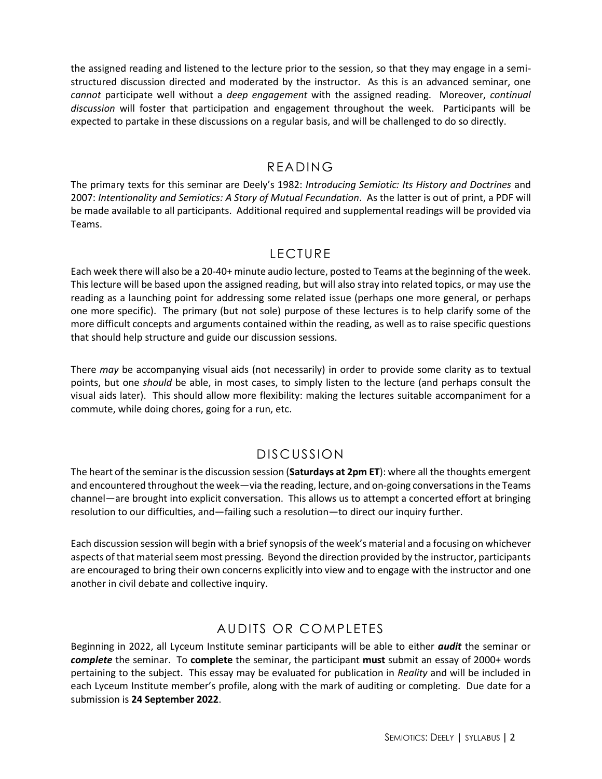the assigned reading and listened to the lecture prior to the session, so that they may engage in a semistructured discussion directed and moderated by the instructor. As this is an advanced seminar, one *cannot* participate well without a *deep engagement* with the assigned reading. Moreover, *continual discussion* will foster that participation and engagement throughout the week. Participants will be expected to partake in these discussions on a regular basis, and will be challenged to do so directly.

#### READING

The primary texts for this seminar are Deely's 1982: *Introducing Semiotic: Its History and Doctrines* and 2007: *Intentionality and Semiotics: A Story of Mutual Fecundation*. As the latter is out of print, a PDF will be made available to all participants. Additional required and supplemental readings will be provided via Teams.

## LECTURE

Each week there will also be a 20-40+ minute audio lecture, posted to Teams at the beginning of the week. This lecture will be based upon the assigned reading, but will also stray into related topics, or may use the reading as a launching point for addressing some related issue (perhaps one more general, or perhaps one more specific). The primary (but not sole) purpose of these lectures is to help clarify some of the more difficult concepts and arguments contained within the reading, as well as to raise specific questions that should help structure and guide our discussion sessions.

There *may* be accompanying visual aids (not necessarily) in order to provide some clarity as to textual points, but one *should* be able, in most cases, to simply listen to the lecture (and perhaps consult the visual aids later). This should allow more flexibility: making the lectures suitable accompaniment for a commute, while doing chores, going for a run, etc.

## DISCUSSION

The heart of the seminar is the discussion session (**Saturdays at 2pm ET**): where all the thoughts emergent and encountered throughout the week—via the reading, lecture, and on-going conversations in the Teams channel—are brought into explicit conversation. This allows us to attempt a concerted effort at bringing resolution to our difficulties, and—failing such a resolution—to direct our inquiry further.

Each discussion session will begin with a brief synopsis of the week's material and a focusing on whichever aspects of that material seem most pressing. Beyond the direction provided by the instructor, participants are encouraged to bring their own concerns explicitly into view and to engage with the instructor and one another in civil debate and collective inquiry.

## AUDITS OR COMPLETES

Beginning in 2022, all Lyceum Institute seminar participants will be able to either *audit* the seminar or *complete* the seminar. To **complete** the seminar, the participant **must** submit an essay of 2000+ words pertaining to the subject. This essay may be evaluated for publication in *Reality* and will be included in each Lyceum Institute member's profile, along with the mark of auditing or completing. Due date for a submission is **24 September 2022**.